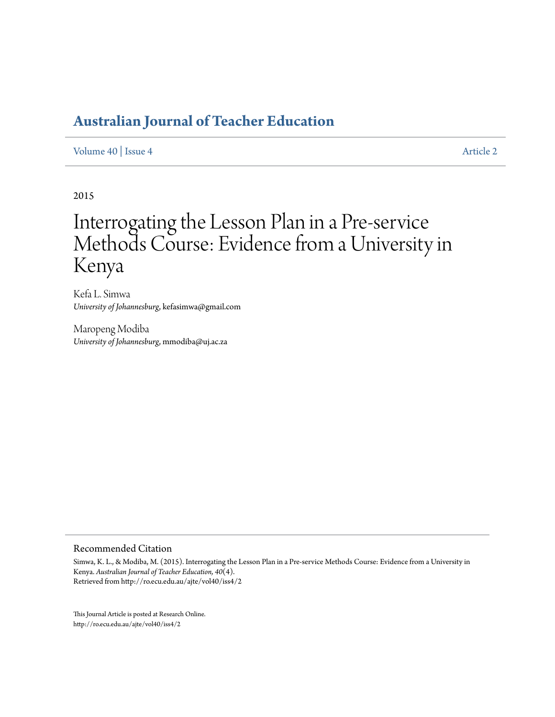#### [Volume 40](http://ro.ecu.edu.au/ajte/vol40) | [Issue 4](http://ro.ecu.edu.au/ajte/vol40/iss4) [Article 2](http://ro.ecu.edu.au/ajte/vol40/iss4/2)

2015

# Interrogating the Lesson Plan in a Pre-service Methods Course: Evidence from a University in Kenya

Kefa L. Simwa *University of Johannesburg*, kefasimwa@gmail.com

Maropeng Modiba *University of Johannesburg*, mmodiba@uj.ac.za

#### Recommended Citation

Simwa, K. L., & Modiba, M. (2015). Interrogating the Lesson Plan in a Pre-service Methods Course: Evidence from a University in Kenya. *Australian Journal of Teacher Education, 40*(4). Retrieved from http://ro.ecu.edu.au/ajte/vol40/iss4/2

This Journal Article is posted at Research Online. http://ro.ecu.edu.au/ajte/vol40/iss4/2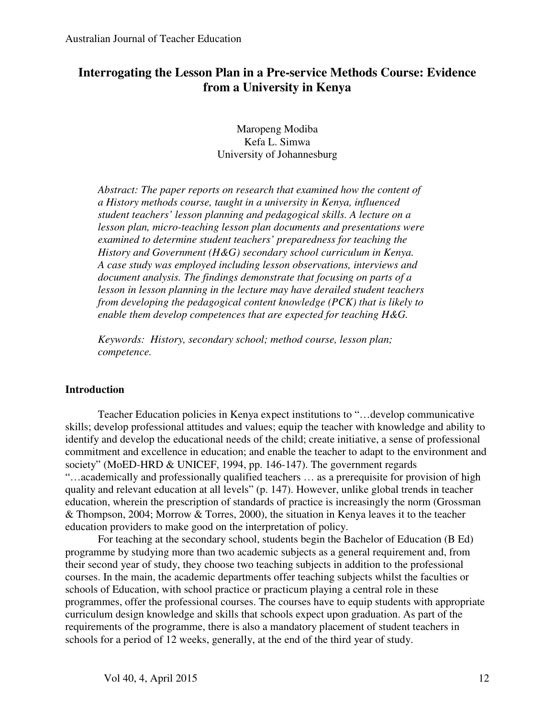## **Interrogating the Lesson Plan in a Pre-service Methods Course: Evidence from a University in Kenya**

Maropeng Modiba Kefa L. Simwa University of Johannesburg

*Abstract: The paper reports on research that examined how the content of a History methods course, taught in a university in Kenya, influenced student teachers' lesson planning and pedagogical skills. A lecture on a lesson plan, micro-teaching lesson plan documents and presentations were examined to determine student teachers' preparedness for teaching the History and Government (H&G) secondary school curriculum in Kenya. A case study was employed including lesson observations, interviews and document analysis. The findings demonstrate that focusing on parts of a lesson in lesson planning in the lecture may have derailed student teachers from developing the pedagogical content knowledge (PCK) that is likely to enable them develop competences that are expected for teaching H&G.* 

*Keywords: History, secondary school; method course, lesson plan; competence.* 

## **Introduction**

Teacher Education policies in Kenya expect institutions to "…develop communicative skills; develop professional attitudes and values; equip the teacher with knowledge and ability to identify and develop the educational needs of the child; create initiative, a sense of professional commitment and excellence in education; and enable the teacher to adapt to the environment and society" (MoED-HRD & UNICEF, 1994, pp. 146-147). The government regards "…academically and professionally qualified teachers … as a prerequisite for provision of high quality and relevant education at all levels" (p. 147). However, unlike global trends in teacher education, wherein the prescription of standards of practice is increasingly the norm (Grossman & Thompson, 2004; Morrow & Torres, 2000), the situation in Kenya leaves it to the teacher education providers to make good on the interpretation of policy.

For teaching at the secondary school, students begin the Bachelor of Education (B Ed) programme by studying more than two academic subjects as a general requirement and, from their second year of study, they choose two teaching subjects in addition to the professional courses. In the main, the academic departments offer teaching subjects whilst the faculties or schools of Education, with school practice or practicum playing a central role in these programmes, offer the professional courses. The courses have to equip students with appropriate curriculum design knowledge and skills that schools expect upon graduation. As part of the requirements of the programme, there is also a mandatory placement of student teachers in schools for a period of 12 weeks, generally, at the end of the third year of study.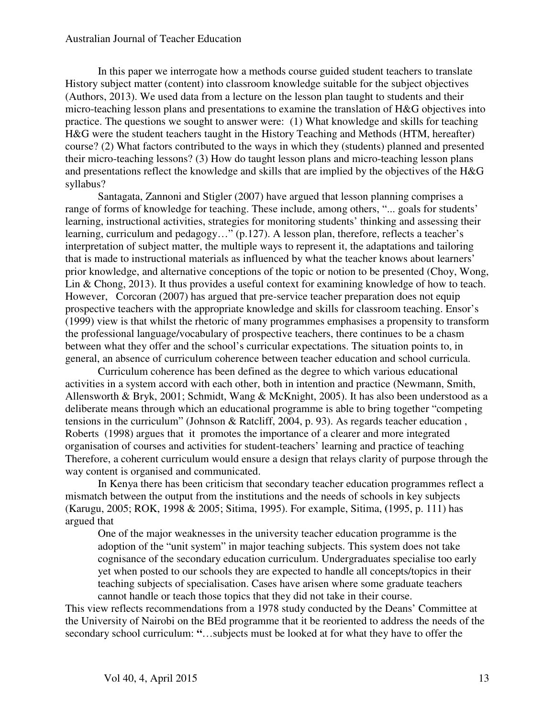In this paper we interrogate how a methods course guided student teachers to translate History subject matter (content) into classroom knowledge suitable for the subject objectives (Authors, 2013). We used data from a lecture on the lesson plan taught to students and their micro-teaching lesson plans and presentations to examine the translation of H&G objectives into practice. The questions we sought to answer were: (1) What knowledge and skills for teaching H&G were the student teachers taught in the History Teaching and Methods (HTM, hereafter) course? (2) What factors contributed to the ways in which they (students) planned and presented their micro-teaching lessons? (3) How do taught lesson plans and micro-teaching lesson plans and presentations reflect the knowledge and skills that are implied by the objectives of the H&G syllabus?

Santagata, Zannoni and Stigler (2007) have argued that lesson planning comprises a range of forms of knowledge for teaching. These include, among others, "... goals for students' learning, instructional activities, strategies for monitoring students' thinking and assessing their learning, curriculum and pedagogy…" (p.127). A lesson plan, therefore, reflects a teacher's interpretation of subject matter, the multiple ways to represent it, the adaptations and tailoring that is made to instructional materials as influenced by what the teacher knows about learners' prior knowledge, and alternative conceptions of the topic or notion to be presented (Choy, Wong, Lin & Chong, 2013). It thus provides a useful context for examining knowledge of how to teach. However, Corcoran (2007) has argued that pre-service teacher preparation does not equip prospective teachers with the appropriate knowledge and skills for classroom teaching. Ensor's (1999) view is that whilst the rhetoric of many programmes emphasises a propensity to transform the professional language/vocabulary of prospective teachers, there continues to be a chasm between what they offer and the school's curricular expectations. The situation points to, in general, an absence of curriculum coherence between teacher education and school curricula.

Curriculum coherence has been defined as the degree to which various educational activities in a system accord with each other, both in intention and practice (Newmann, Smith, Allensworth & Bryk, 2001; Schmidt, Wang & McKnight, 2005). It has also been understood as a deliberate means through which an educational programme is able to bring together "competing tensions in the curriculum" (Johnson & Ratcliff, 2004, p. 93). As regards teacher education , Roberts (1998) argues that it promotes the importance of a clearer and more integrated organisation of courses and activities for student-teachers' learning and practice of teaching Therefore, a coherent curriculum would ensure a design that relays clarity of purpose through the way content is organised and communicated.

In Kenya there has been criticism that secondary teacher education programmes reflect a mismatch between the output from the institutions and the needs of schools in key subjects (Karugu, 2005; ROK, 1998 & 2005; Sitima, 1995). For example, Sitima, **(**1995, p. 111) has argued that

One of the major weaknesses in the university teacher education programme is the adoption of the "unit system" in major teaching subjects. This system does not take cognisance of the secondary education curriculum. Undergraduates specialise too early yet when posted to our schools they are expected to handle all concepts/topics in their teaching subjects of specialisation. Cases have arisen where some graduate teachers cannot handle or teach those topics that they did not take in their course.

This view reflects recommendations from a 1978 study conducted by the Deans' Committee at the University of Nairobi on the BEd programme that it be reoriented to address the needs of the secondary school curriculum: **"**…subjects must be looked at for what they have to offer the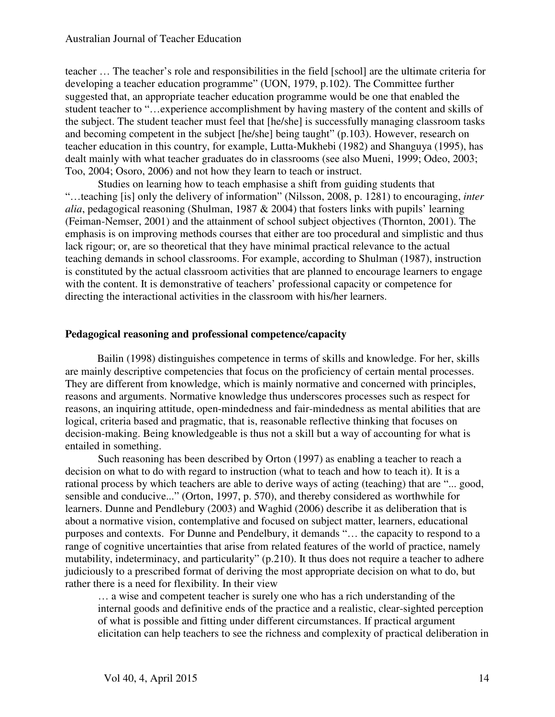teacher … The teacher's role and responsibilities in the field [school] are the ultimate criteria for developing a teacher education programme" (UON, 1979, p.102). The Committee further suggested that, an appropriate teacher education programme would be one that enabled the student teacher to "…experience accomplishment by having mastery of the content and skills of the subject. The student teacher must feel that [he/she] is successfully managing classroom tasks and becoming competent in the subject [he/she] being taught" (p.103). However, research on teacher education in this country, for example, Lutta-Mukhebi (1982) and Shanguya (1995), has dealt mainly with what teacher graduates do in classrooms (see also Mueni, 1999; Odeo, 2003; Too, 2004; Osoro, 2006) and not how they learn to teach or instruct.

Studies on learning how to teach emphasise a shift from guiding students that "…teaching [is] only the delivery of information" (Nilsson, 2008, p. 1281) to encouraging, *inter alia*, pedagogical reasoning (Shulman, 1987 & 2004) that fosters links with pupils' learning (Feiman-Nemser, 2001) and the attainment of school subject objectives (Thornton, 2001). The emphasis is on improving methods courses that either are too procedural and simplistic and thus lack rigour; or, are so theoretical that they have minimal practical relevance to the actual teaching demands in school classrooms. For example, according to Shulman (1987), instruction is constituted by the actual classroom activities that are planned to encourage learners to engage with the content. It is demonstrative of teachers' professional capacity or competence for directing the interactional activities in the classroom with his/her learners.

## **Pedagogical reasoning and professional competence/capacity**

Bailin (1998) distinguishes competence in terms of skills and knowledge. For her, skills are mainly descriptive competencies that focus on the proficiency of certain mental processes. They are different from knowledge, which is mainly normative and concerned with principles, reasons and arguments. Normative knowledge thus underscores processes such as respect for reasons, an inquiring attitude, open-mindedness and fair-mindedness as mental abilities that are logical, criteria based and pragmatic, that is, reasonable reflective thinking that focuses on decision-making. Being knowledgeable is thus not a skill but a way of accounting for what is entailed in something.

Such reasoning has been described by Orton (1997) as enabling a teacher to reach a decision on what to do with regard to instruction (what to teach and how to teach it). It is a rational process by which teachers are able to derive ways of acting (teaching) that are "... good, sensible and conducive..." (Orton, 1997, p. 570), and thereby considered as worthwhile for learners. Dunne and Pendlebury (2003) and Waghid (2006) describe it as deliberation that is about a normative vision, contemplative and focused on subject matter, learners, educational purposes and contexts. For Dunne and Pendelbury, it demands "… the capacity to respond to a range of cognitive uncertainties that arise from related features of the world of practice, namely mutability, indeterminacy, and particularity" (p.210). It thus does not require a teacher to adhere judiciously to a prescribed format of deriving the most appropriate decision on what to do, but rather there is a need for flexibility. In their view

… a wise and competent teacher is surely one who has a rich understanding of the internal goods and definitive ends of the practice and a realistic, clear-sighted perception of what is possible and fitting under different circumstances. If practical argument elicitation can help teachers to see the richness and complexity of practical deliberation in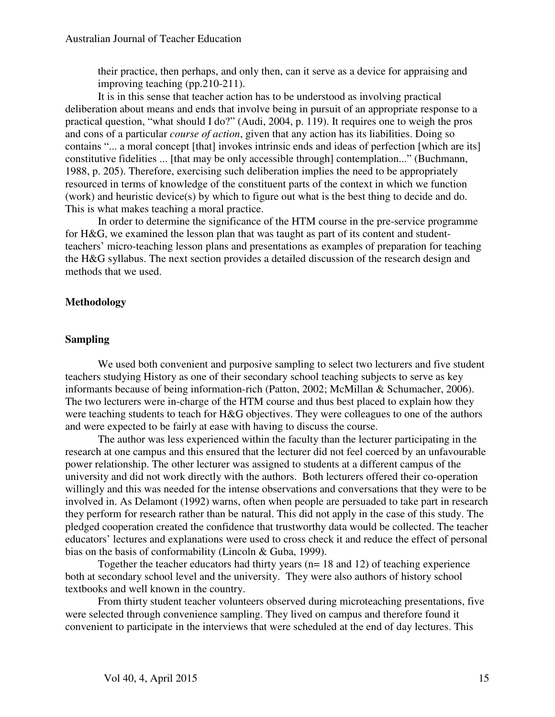their practice, then perhaps, and only then, can it serve as a device for appraising and improving teaching (pp.210-211).

It is in this sense that teacher action has to be understood as involving practical deliberation about means and ends that involve being in pursuit of an appropriate response to a practical question, "what should I do?" (Audi, 2004, p. 119). It requires one to weigh the pros and cons of a particular *course of action*, given that any action has its liabilities. Doing so contains "... a moral concept [that] invokes intrinsic ends and ideas of perfection [which are its] constitutive fidelities ... [that may be only accessible through] contemplation..." (Buchmann, 1988, p. 205). Therefore, exercising such deliberation implies the need to be appropriately resourced in terms of knowledge of the constituent parts of the context in which we function (work) and heuristic device(s) by which to figure out what is the best thing to decide and do. This is what makes teaching a moral practice.

In order to determine the significance of the HTM course in the pre-service programme for H&G, we examined the lesson plan that was taught as part of its content and studentteachers' micro-teaching lesson plans and presentations as examples of preparation for teaching the H&G syllabus. The next section provides a detailed discussion of the research design and methods that we used.

## **Methodology**

## **Sampling**

We used both convenient and purposive sampling to select two lecturers and five student teachers studying History as one of their secondary school teaching subjects to serve as key informants because of being information-rich (Patton, 2002; McMillan & Schumacher, 2006). The two lecturers were in-charge of the HTM course and thus best placed to explain how they were teaching students to teach for H&G objectives. They were colleagues to one of the authors and were expected to be fairly at ease with having to discuss the course.

The author was less experienced within the faculty than the lecturer participating in the research at one campus and this ensured that the lecturer did not feel coerced by an unfavourable power relationship. The other lecturer was assigned to students at a different campus of the university and did not work directly with the authors. Both lecturers offered their co-operation willingly and this was needed for the intense observations and conversations that they were to be involved in. As Delamont (1992) warns, often when people are persuaded to take part in research they perform for research rather than be natural. This did not apply in the case of this study. The pledged cooperation created the confidence that trustworthy data would be collected. The teacher educators' lectures and explanations were used to cross check it and reduce the effect of personal bias on the basis of conformability (Lincoln & Guba, 1999).

Together the teacher educators had thirty years (n= 18 and 12) of teaching experience both at secondary school level and the university. They were also authors of history school textbooks and well known in the country.

From thirty student teacher volunteers observed during microteaching presentations, five were selected through convenience sampling. They lived on campus and therefore found it convenient to participate in the interviews that were scheduled at the end of day lectures. This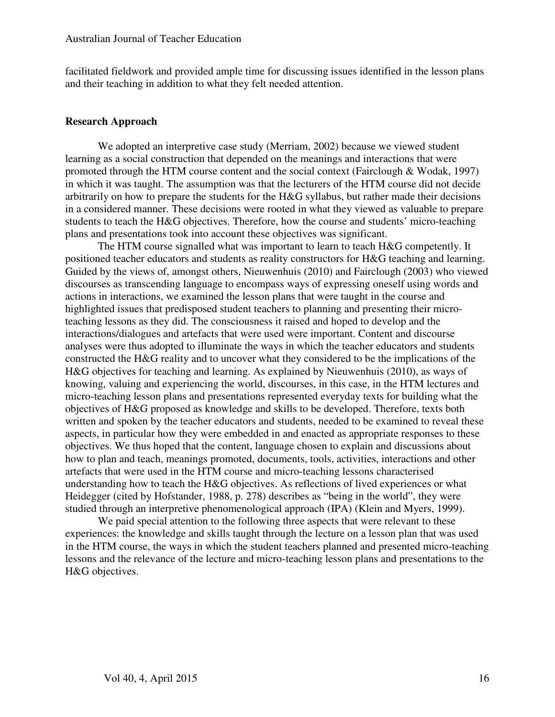facilitated fieldwork and provided ample time for discussing issues identified in the lesson plans and their teaching in addition to what they felt needed attention.

#### **Research Approach**

We adopted an interpretive case study (Merriam, 2002) because we viewed student learning as a social construction that depended on the meanings and interactions that were promoted through the HTM course content and the social context (Fairclough & Wodak, 1997) in which it was taught. The assumption was that the lecturers of the HTM course did not decide arbitrarily on how to prepare the students for the H&G syllabus, but rather made their decisions in a considered manner. These decisions were rooted in what they viewed as valuable to prepare students to teach the H&G objectives. Therefore, how the course and students' micro-teaching plans and presentations took into account these objectives was significant.

The HTM course signalled what was important to learn to teach H&G competently. It positioned teacher educators and students as reality constructors for H&G teaching and learning. Guided by the views of, amongst others, Nieuwenhuis (2010) and Fairclough (2003) who viewed discourses as transcending language to encompass ways of expressing oneself using words and actions in interactions, we examined the lesson plans that were taught in the course and highlighted issues that predisposed student teachers to planning and presenting their microteaching lessons as they did. The consciousness it raised and hoped to develop and the interactions/dialogues and artefacts that were used were important. Content and discourse analyses were thus adopted to illuminate the ways in which the teacher educators and students constructed the H&G reality and to uncover what they considered to be the implications of the H&G objectives for teaching and learning. As explained by Nieuwenhuis (2010), as ways of knowing, valuing and experiencing the world, discourses, in this case, in the HTM lectures and micro-teaching lesson plans and presentations represented everyday texts for building what the objectives of H&G proposed as knowledge and skills to be developed. Therefore, texts both written and spoken by the teacher educators and students, needed to be examined to reveal these aspects, in particular how they were embedded in and enacted as appropriate responses to these objectives. We thus hoped that the content, language chosen to explain and discussions about how to plan and teach, meanings promoted, documents, tools, activities, interactions and other artefacts that were used in the HTM course and micro-teaching lessons characterised understanding how to teach the H&G objectives. As reflections of lived experiences or what Heidegger (cited by Hofstander, 1988, p. 278) describes as "being in the world", they were studied through an interpretive phenomenological approach (IPA) (Klein and Myers, 1999).

We paid special attention to the following three aspects that were relevant to these experiences: the knowledge and skills taught through the lecture on a lesson plan that was used in the HTM course, the ways in which the student teachers planned and presented micro-teaching lessons and the relevance of the lecture and micro-teaching lesson plans and presentations to the H&G objectives.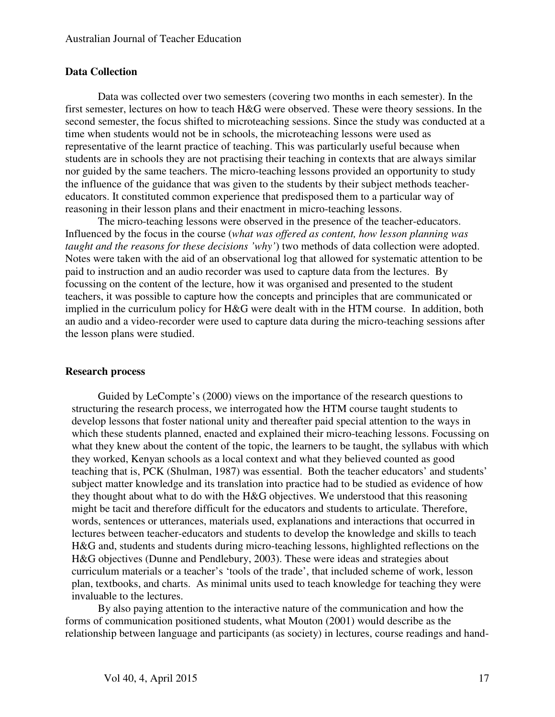#### **Data Collection**

Data was collected over two semesters (covering two months in each semester). In the first semester, lectures on how to teach H&G were observed. These were theory sessions. In the second semester, the focus shifted to microteaching sessions. Since the study was conducted at a time when students would not be in schools, the microteaching lessons were used as representative of the learnt practice of teaching. This was particularly useful because when students are in schools they are not practising their teaching in contexts that are always similar nor guided by the same teachers. The micro-teaching lessons provided an opportunity to study the influence of the guidance that was given to the students by their subject methods teachereducators. It constituted common experience that predisposed them to a particular way of reasoning in their lesson plans and their enactment in micro-teaching lessons.

The micro-teaching lessons were observed in the presence of the teacher-educators. Influenced by the focus in the course (*what was offered as content, how lesson planning was taught and the reasons for these decisions 'why'*) two methods of data collection were adopted. Notes were taken with the aid of an observational log that allowed for systematic attention to be paid to instruction and an audio recorder was used to capture data from the lectures. By focussing on the content of the lecture, how it was organised and presented to the student teachers, it was possible to capture how the concepts and principles that are communicated or implied in the curriculum policy for H&G were dealt with in the HTM course. In addition, both an audio and a video-recorder were used to capture data during the micro-teaching sessions after the lesson plans were studied.

#### **Research process**

Guided by LeCompte's (2000) views on the importance of the research questions to structuring the research process, we interrogated how the HTM course taught students to develop lessons that foster national unity and thereafter paid special attention to the ways in which these students planned, enacted and explained their micro-teaching lessons. Focussing on what they knew about the content of the topic, the learners to be taught, the syllabus with which they worked, Kenyan schools as a local context and what they believed counted as good teaching that is, PCK (Shulman, 1987) was essential. Both the teacher educators' and students' subject matter knowledge and its translation into practice had to be studied as evidence of how they thought about what to do with the H&G objectives. We understood that this reasoning might be tacit and therefore difficult for the educators and students to articulate. Therefore, words, sentences or utterances, materials used, explanations and interactions that occurred in lectures between teacher-educators and students to develop the knowledge and skills to teach H&G and, students and students during micro-teaching lessons, highlighted reflections on the H&G objectives (Dunne and Pendlebury, 2003). These were ideas and strategies about curriculum materials or a teacher's 'tools of the trade', that included scheme of work, lesson plan, textbooks, and charts. As minimal units used to teach knowledge for teaching they were invaluable to the lectures.

By also paying attention to the interactive nature of the communication and how the forms of communication positioned students, what Mouton (2001) would describe as the relationship between language and participants (as society) in lectures, course readings and hand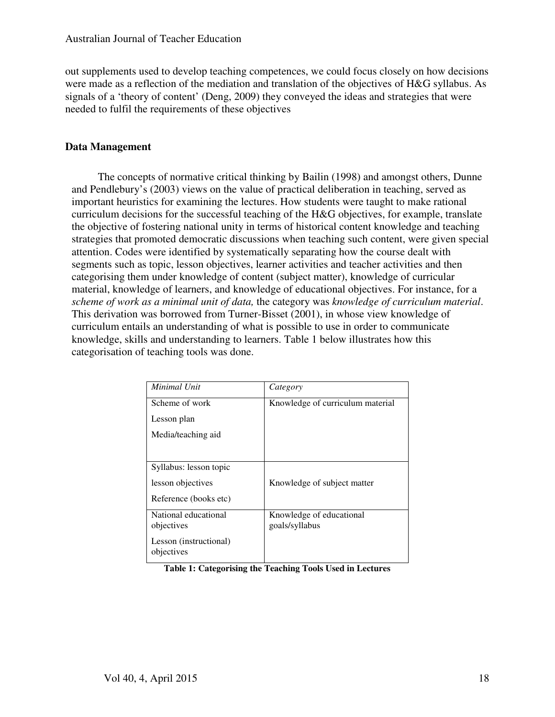out supplements used to develop teaching competences, we could focus closely on how decisions were made as a reflection of the mediation and translation of the objectives of H&G syllabus. As signals of a 'theory of content' (Deng, 2009) they conveyed the ideas and strategies that were needed to fulfil the requirements of these objectives

## **Data Management**

The concepts of normative critical thinking by Bailin (1998) and amongst others, Dunne and Pendlebury's (2003) views on the value of practical deliberation in teaching, served as important heuristics for examining the lectures. How students were taught to make rational curriculum decisions for the successful teaching of the H&G objectives, for example, translate the objective of fostering national unity in terms of historical content knowledge and teaching strategies that promoted democratic discussions when teaching such content, were given special attention. Codes were identified by systematically separating how the course dealt with segments such as topic, lesson objectives, learner activities and teacher activities and then categorising them under knowledge of content (subject matter), knowledge of curricular material, knowledge of learners, and knowledge of educational objectives. For instance, for a *scheme of work as a minimal unit of data,* the category was *knowledge of curriculum material*. This derivation was borrowed from Turner-Bisset (2001), in whose view knowledge of curriculum entails an understanding of what is possible to use in order to communicate knowledge, skills and understanding to learners. Table 1 below illustrates how this categorisation of teaching tools was done.

| Minimal Unit                         | Category                                   |
|--------------------------------------|--------------------------------------------|
| Scheme of work                       | Knowledge of curriculum material           |
| Lesson plan                          |                                            |
| Media/teaching aid                   |                                            |
|                                      |                                            |
| Syllabus: lesson topic               |                                            |
| lesson objectives                    | Knowledge of subject matter                |
| Reference (books etc)                |                                            |
| National educational<br>objectives   | Knowledge of educational<br>goals/syllabus |
| Lesson (instructional)<br>objectives |                                            |

**Table 1: Categorising the Teaching Tools Used in Lectures**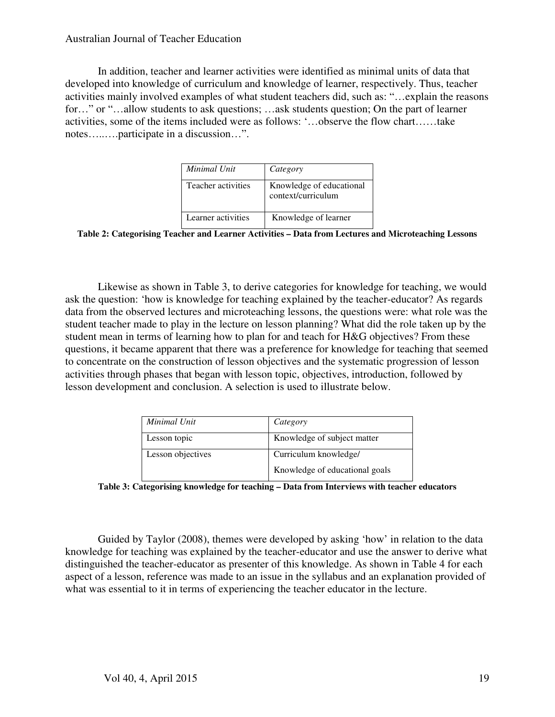In addition, teacher and learner activities were identified as minimal units of data that developed into knowledge of curriculum and knowledge of learner, respectively. Thus, teacher activities mainly involved examples of what student teachers did, such as: "…explain the reasons for..." or "...allow students to ask questions; ...ask students question; On the part of learner activities, some of the items included were as follows: '…observe the flow chart……take notes…..….participate in a discussion…".

| Minimal Unit       | Category                                       |
|--------------------|------------------------------------------------|
| Teacher activities | Knowledge of educational<br>context/curriculum |
| Learner activities | Knowledge of learner                           |

**Table 2: Categorising Teacher and Learner Activities – Data from Lectures and Microteaching Lessons** 

Likewise as shown in Table 3, to derive categories for knowledge for teaching, we would ask the question: 'how is knowledge for teaching explained by the teacher-educator? As regards data from the observed lectures and microteaching lessons, the questions were: what role was the student teacher made to play in the lecture on lesson planning? What did the role taken up by the student mean in terms of learning how to plan for and teach for H&G objectives? From these questions, it became apparent that there was a preference for knowledge for teaching that seemed to concentrate on the construction of lesson objectives and the systematic progression of lesson activities through phases that began with lesson topic, objectives, introduction, followed by lesson development and conclusion. A selection is used to illustrate below.

| Minimal Unit      | Category                       |
|-------------------|--------------------------------|
| Lesson topic      | Knowledge of subject matter    |
| Lesson objectives | Curriculum knowledge/          |
|                   | Knowledge of educational goals |

**Table 3: Categorising knowledge for teaching – Data from Interviews with teacher educators** 

Guided by Taylor (2008), themes were developed by asking 'how' in relation to the data knowledge for teaching was explained by the teacher-educator and use the answer to derive what distinguished the teacher-educator as presenter of this knowledge. As shown in Table 4 for each aspect of a lesson, reference was made to an issue in the syllabus and an explanation provided of what was essential to it in terms of experiencing the teacher educator in the lecture.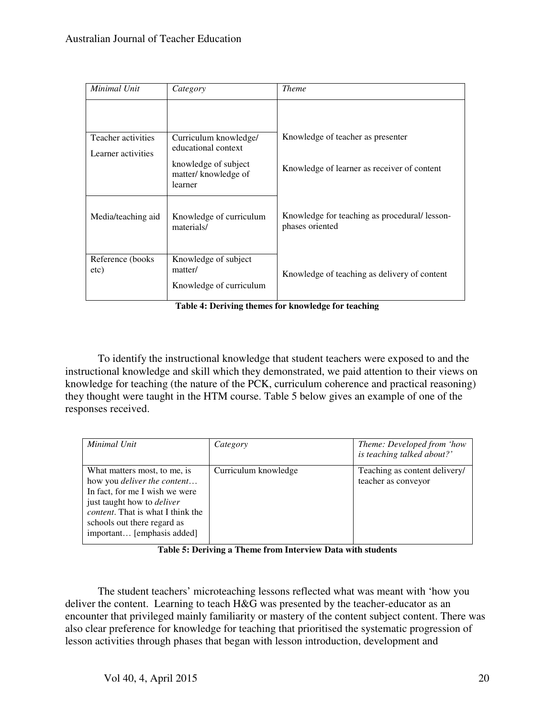| Minimal Unit              | Category                                                   | <b>Theme</b>                                                    |
|---------------------------|------------------------------------------------------------|-----------------------------------------------------------------|
|                           |                                                            |                                                                 |
| Teacher activities        | Curriculum knowledge/<br>educational context               | Knowledge of teacher as presenter                               |
| Learner activities        |                                                            |                                                                 |
|                           | knowledge of subject<br>matter/knowledge of<br>learner     | Knowledge of learner as receiver of content                     |
| Media/teaching aid        | Knowledge of curriculum<br>materials/                      | Knowledge for teaching as procedural/lesson-<br>phases oriented |
| Reference (books)<br>etc) | Knowledge of subject<br>matter/<br>Knowledge of curriculum | Knowledge of teaching as delivery of content                    |

**Table 4: Deriving themes for knowledge for teaching**

To identify the instructional knowledge that student teachers were exposed to and the instructional knowledge and skill which they demonstrated, we paid attention to their views on knowledge for teaching (the nature of the PCK, curriculum coherence and practical reasoning) they thought were taught in the HTM course. Table 5 below gives an example of one of the responses received.

| Minimal Unit                                                             | Category             | Theme: Developed from 'how                           |
|--------------------------------------------------------------------------|----------------------|------------------------------------------------------|
|                                                                          |                      | is teaching talked about?'                           |
| What matters most, to me, is<br>how you <i>deliver the content</i>       | Curriculum knowledge | Teaching as content delivery/<br>teacher as conveyor |
| In fact, for me I wish we were<br>just taught how to <i>deliver</i>      |                      |                                                      |
| <i>content</i> . That is what I think the<br>schools out there regard as |                      |                                                      |
| important [emphasis added]                                               |                      |                                                      |

**Table 5: Deriving a Theme from Interview Data with students** 

The student teachers' microteaching lessons reflected what was meant with 'how you deliver the content. Learning to teach H&G was presented by the teacher-educator as an encounter that privileged mainly familiarity or mastery of the content subject content. There was also clear preference for knowledge for teaching that prioritised the systematic progression of lesson activities through phases that began with lesson introduction, development and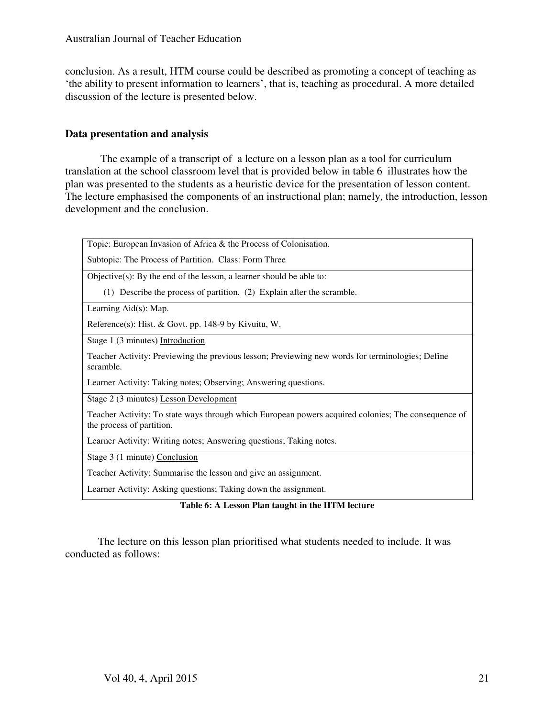conclusion. As a result, HTM course could be described as promoting a concept of teaching as 'the ability to present information to learners', that is, teaching as procedural. A more detailed discussion of the lecture is presented below.

## **Data presentation and analysis**

 The example of a transcript of a lecture on a lesson plan as a tool for curriculum translation at the school classroom level that is provided below in table 6 illustrates how the plan was presented to the students as a heuristic device for the presentation of lesson content. The lecture emphasised the components of an instructional plan; namely, the introduction, lesson development and the conclusion.

Topic: European Invasion of Africa & the Process of Colonisation.

Subtopic: The Process of Partition. Class: Form Three

Objective(s): By the end of the lesson, a learner should be able to:

(1) Describe the process of partition. (2) Explain after the scramble.

Learning Aid(s): Map.

Reference(s): Hist. & Govt. pp. 148-9 by Kivuitu, W.

Stage 1 (3 minutes) Introduction

Teacher Activity: Previewing the previous lesson; Previewing new words for terminologies; Define scramble.

Learner Activity: Taking notes; Observing; Answering questions.

Stage 2 (3 minutes) Lesson Development

Teacher Activity: To state ways through which European powers acquired colonies; The consequence of the process of partition.

Learner Activity: Writing notes; Answering questions; Taking notes.

Stage 3 (1 minute) Conclusion

Teacher Activity: Summarise the lesson and give an assignment.

Learner Activity: Asking questions; Taking down the assignment.

#### **Table 6: A Lesson Plan taught in the HTM lecture**

The lecture on this lesson plan prioritised what students needed to include. It was conducted as follows: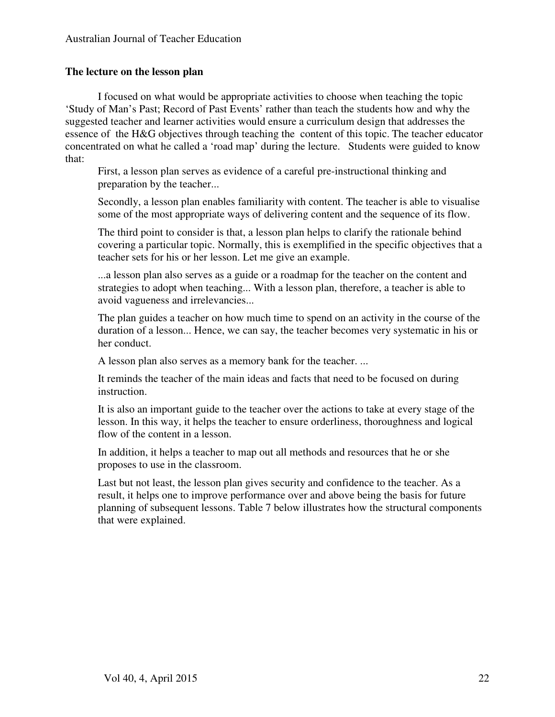## **The lecture on the lesson plan**

I focused on what would be appropriate activities to choose when teaching the topic 'Study of Man's Past; Record of Past Events' rather than teach the students how and why the suggested teacher and learner activities would ensure a curriculum design that addresses the essence of the H&G objectives through teaching the content of this topic. The teacher educator concentrated on what he called a 'road map' during the lecture. Students were guided to know that:

First, a lesson plan serves as evidence of a careful pre-instructional thinking and preparation by the teacher...

Secondly, a lesson plan enables familiarity with content. The teacher is able to visualise some of the most appropriate ways of delivering content and the sequence of its flow.

The third point to consider is that, a lesson plan helps to clarify the rationale behind covering a particular topic. Normally, this is exemplified in the specific objectives that a teacher sets for his or her lesson. Let me give an example.

...a lesson plan also serves as a guide or a roadmap for the teacher on the content and strategies to adopt when teaching... With a lesson plan, therefore, a teacher is able to avoid vagueness and irrelevancies...

The plan guides a teacher on how much time to spend on an activity in the course of the duration of a lesson... Hence, we can say, the teacher becomes very systematic in his or her conduct.

A lesson plan also serves as a memory bank for the teacher. ...

It reminds the teacher of the main ideas and facts that need to be focused on during instruction.

It is also an important guide to the teacher over the actions to take at every stage of the lesson. In this way, it helps the teacher to ensure orderliness, thoroughness and logical flow of the content in a lesson.

In addition, it helps a teacher to map out all methods and resources that he or she proposes to use in the classroom.

Last but not least, the lesson plan gives security and confidence to the teacher. As a result, it helps one to improve performance over and above being the basis for future planning of subsequent lessons. Table 7 below illustrates how the structural components that were explained.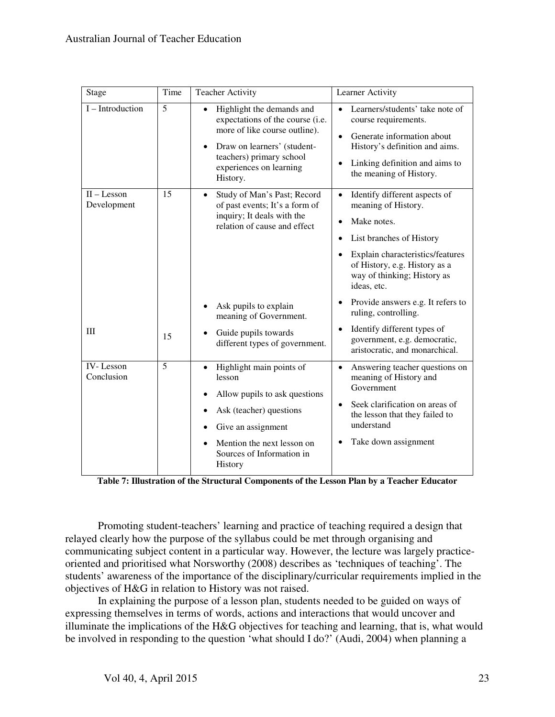|                              | Time |                                                                                                                                                                                                  |                                                                                                                                                                                                   |
|------------------------------|------|--------------------------------------------------------------------------------------------------------------------------------------------------------------------------------------------------|---------------------------------------------------------------------------------------------------------------------------------------------------------------------------------------------------|
| Stage                        |      | <b>Teacher Activity</b>                                                                                                                                                                          | Learner Activity                                                                                                                                                                                  |
| I - Introduction             | 5    | Highlight the demands and<br>expectations of the course (i.e.<br>more of like course outline).<br>Draw on learners' (student-<br>teachers) primary school<br>experiences on learning<br>History. | Learners/students' take note of<br>course requirements.<br>Generate information about<br>$\bullet$<br>History's definition and aims.<br>Linking definition and aims to<br>the meaning of History. |
| $II -$ Lesson<br>Development | 15   | Study of Man's Past; Record<br>$\bullet$<br>of past events; It's a form of<br>inquiry; It deals with the<br>relation of cause and effect                                                         | Identify different aspects of<br>meaning of History.<br>Make notes.                                                                                                                               |
|                              |      |                                                                                                                                                                                                  | List branches of History                                                                                                                                                                          |
|                              |      |                                                                                                                                                                                                  | Explain characteristics/features<br>of History, e.g. History as a<br>way of thinking; History as<br>ideas, etc.                                                                                   |
|                              |      | Ask pupils to explain<br>meaning of Government.                                                                                                                                                  | Provide answers e.g. It refers to<br>ruling, controlling.                                                                                                                                         |
| Ш                            | 15   | Guide pupils towards<br>different types of government.                                                                                                                                           | Identify different types of<br>government, e.g. democratic,<br>aristocratic, and monarchical.                                                                                                     |
| 5<br>IV-Lesson<br>Conclusion |      | Highlight main points of<br>$\bullet$<br>lesson<br>Allow pupils to ask questions                                                                                                                 | Answering teacher questions on<br>$\bullet$<br>meaning of History and<br>Government                                                                                                               |
|                              |      | Ask (teacher) questions<br>Give an assignment                                                                                                                                                    | Seek clarification on areas of<br>$\bullet$<br>the lesson that they failed to<br>understand                                                                                                       |
|                              |      | Mention the next lesson on<br>Sources of Information in<br>History                                                                                                                               | Take down assignment                                                                                                                                                                              |

**Table 7: Illustration of the Structural Components of the Lesson Plan by a Teacher Educator** 

Promoting student-teachers' learning and practice of teaching required a design that relayed clearly how the purpose of the syllabus could be met through organising and communicating subject content in a particular way. However, the lecture was largely practiceoriented and prioritised what Norsworthy (2008) describes as 'techniques of teaching'. The students' awareness of the importance of the disciplinary/curricular requirements implied in the objectives of H&G in relation to History was not raised.

In explaining the purpose of a lesson plan, students needed to be guided on ways of expressing themselves in terms of words, actions and interactions that would uncover and illuminate the implications of the H&G objectives for teaching and learning, that is, what would be involved in responding to the question 'what should I do?' (Audi, 2004) when planning a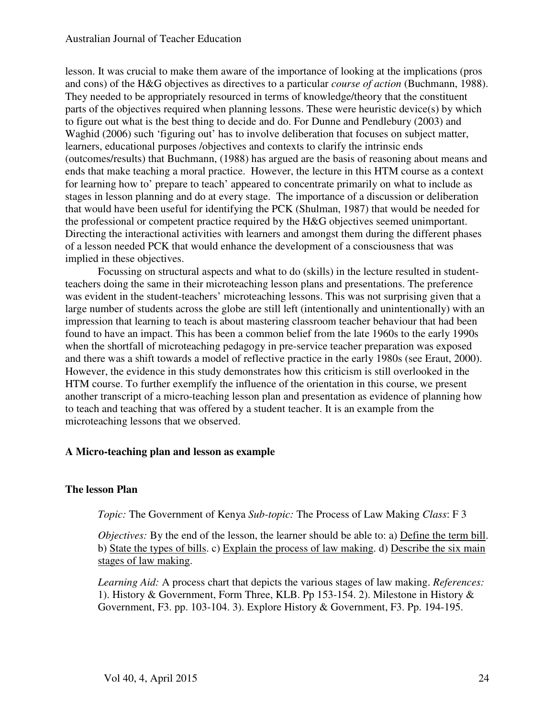lesson. It was crucial to make them aware of the importance of looking at the implications (pros and cons) of the H&G objectives as directives to a particular *course of action* (Buchmann, 1988). They needed to be appropriately resourced in terms of knowledge/theory that the constituent parts of the objectives required when planning lessons. These were heuristic device(s) by which to figure out what is the best thing to decide and do. For Dunne and Pendlebury (2003) and Waghid (2006) such 'figuring out' has to involve deliberation that focuses on subject matter, learners, educational purposes /objectives and contexts to clarify the intrinsic ends (outcomes/results) that Buchmann, (1988) has argued are the basis of reasoning about means and ends that make teaching a moral practice. However, the lecture in this HTM course as a context for learning how to' prepare to teach' appeared to concentrate primarily on what to include as stages in lesson planning and do at every stage. The importance of a discussion or deliberation that would have been useful for identifying the PCK (Shulman, 1987) that would be needed for the professional or competent practice required by the H&G objectives seemed unimportant. Directing the interactional activities with learners and amongst them during the different phases of a lesson needed PCK that would enhance the development of a consciousness that was implied in these objectives.

Focussing on structural aspects and what to do (skills) in the lecture resulted in studentteachers doing the same in their microteaching lesson plans and presentations. The preference was evident in the student-teachers' microteaching lessons. This was not surprising given that a large number of students across the globe are still left (intentionally and unintentionally) with an impression that learning to teach is about mastering classroom teacher behaviour that had been found to have an impact. This has been a common belief from the late 1960s to the early 1990s when the shortfall of microteaching pedagogy in pre-service teacher preparation was exposed and there was a shift towards a model of reflective practice in the early 1980s (see Eraut, 2000). However, the evidence in this study demonstrates how this criticism is still overlooked in the HTM course. To further exemplify the influence of the orientation in this course, we present another transcript of a micro-teaching lesson plan and presentation as evidence of planning how to teach and teaching that was offered by a student teacher. It is an example from the microteaching lessons that we observed.

## **A Micro-teaching plan and lesson as example**

## **The lesson Plan**

*Topic:* The Government of Kenya *Sub-topic:* The Process of Law Making *Class*: F 3

*Objectives:* By the end of the lesson, the learner should be able to: a) **Define the term bill**. b) State the types of bills. c) Explain the process of law making. d) Describe the six main stages of law making.

*Learning Aid:* A process chart that depicts the various stages of law making. *References:* 1). History & Government, Form Three, KLB. Pp 153-154. 2). Milestone in History & Government, F3. pp. 103-104. 3). Explore History & Government, F3. Pp. 194-195.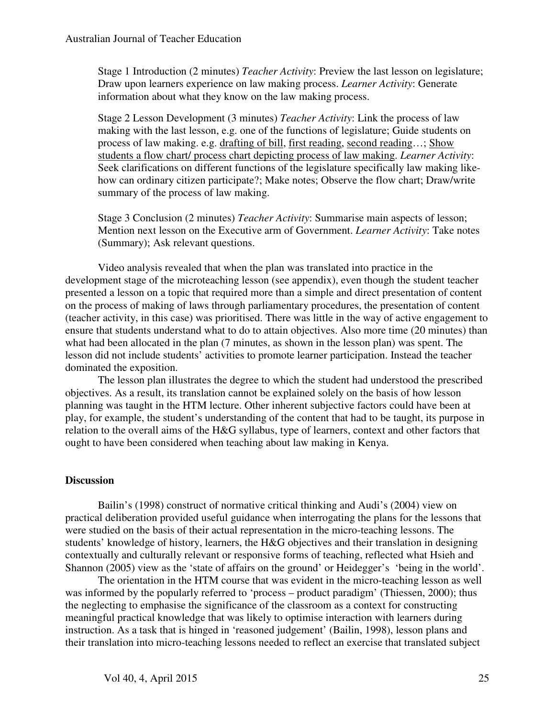Stage 1 Introduction (2 minutes) *Teacher Activity*: Preview the last lesson on legislature; Draw upon learners experience on law making process. *Learner Activity*: Generate information about what they know on the law making process.

Stage 2 Lesson Development (3 minutes) *Teacher Activity*: Link the process of law making with the last lesson, e.g. one of the functions of legislature; Guide students on process of law making. e.g. drafting of bill, first reading, second reading…; Show students a flow chart/ process chart depicting process of law making. *Learner Activity*: Seek clarifications on different functions of the legislature specifically law making likehow can ordinary citizen participate?; Make notes; Observe the flow chart; Draw/write summary of the process of law making.

Stage 3 Conclusion (2 minutes) *Teacher Activity*: Summarise main aspects of lesson; Mention next lesson on the Executive arm of Government. *Learner Activity*: Take notes (Summary); Ask relevant questions.

Video analysis revealed that when the plan was translated into practice in the development stage of the microteaching lesson (see appendix), even though the student teacher presented a lesson on a topic that required more than a simple and direct presentation of content on the process of making of laws through parliamentary procedures, the presentation of content (teacher activity, in this case) was prioritised. There was little in the way of active engagement to ensure that students understand what to do to attain objectives. Also more time (20 minutes) than what had been allocated in the plan (7 minutes, as shown in the lesson plan) was spent. The lesson did not include students' activities to promote learner participation. Instead the teacher dominated the exposition.

The lesson plan illustrates the degree to which the student had understood the prescribed objectives. As a result, its translation cannot be explained solely on the basis of how lesson planning was taught in the HTM lecture. Other inherent subjective factors could have been at play, for example, the student's understanding of the content that had to be taught, its purpose in relation to the overall aims of the H&G syllabus, type of learners, context and other factors that ought to have been considered when teaching about law making in Kenya.

## **Discussion**

Bailin's (1998) construct of normative critical thinking and Audi's (2004) view on practical deliberation provided useful guidance when interrogating the plans for the lessons that were studied on the basis of their actual representation in the micro-teaching lessons. The students' knowledge of history, learners, the H&G objectives and their translation in designing contextually and culturally relevant or responsive forms of teaching, reflected what Hsieh and Shannon (2005) view as the 'state of affairs on the ground' or Heidegger's 'being in the world'.

The orientation in the HTM course that was evident in the micro-teaching lesson as well was informed by the popularly referred to 'process – product paradigm' (Thiessen, 2000); thus the neglecting to emphasise the significance of the classroom as a context for constructing meaningful practical knowledge that was likely to optimise interaction with learners during instruction. As a task that is hinged in 'reasoned judgement' (Bailin, 1998), lesson plans and their translation into micro-teaching lessons needed to reflect an exercise that translated subject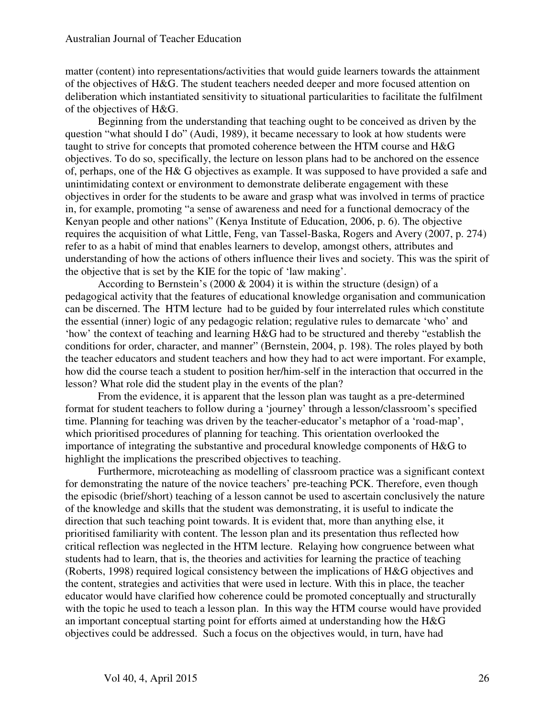matter (content) into representations/activities that would guide learners towards the attainment of the objectives of H&G. The student teachers needed deeper and more focused attention on deliberation which instantiated sensitivity to situational particularities to facilitate the fulfilment of the objectives of H&G.

Beginning from the understanding that teaching ought to be conceived as driven by the question "what should I do" (Audi, 1989), it became necessary to look at how students were taught to strive for concepts that promoted coherence between the HTM course and H&G objectives. To do so, specifically, the lecture on lesson plans had to be anchored on the essence of, perhaps, one of the H& G objectives as example. It was supposed to have provided a safe and unintimidating context or environment to demonstrate deliberate engagement with these objectives in order for the students to be aware and grasp what was involved in terms of practice in, for example, promoting "a sense of awareness and need for a functional democracy of the Kenyan people and other nations" (Kenya Institute of Education, 2006, p. 6). The objective requires the acquisition of what Little, Feng, van Tassel-Baska, Rogers and Avery (2007, p. 274) refer to as a habit of mind that enables learners to develop, amongst others, attributes and understanding of how the actions of others influence their lives and society. This was the spirit of the objective that is set by the KIE for the topic of 'law making'.

According to Bernstein's (2000 & 2004) it is within the structure (design) of a pedagogical activity that the features of educational knowledge organisation and communication can be discerned. The HTM lecture had to be guided by four interrelated rules which constitute the essential (inner) logic of any pedagogic relation; regulative rules to demarcate 'who' and 'how' the context of teaching and learning H&G had to be structured and thereby "establish the conditions for order, character, and manner" (Bernstein, 2004, p. 198). The roles played by both the teacher educators and student teachers and how they had to act were important. For example, how did the course teach a student to position her/him-self in the interaction that occurred in the lesson? What role did the student play in the events of the plan?

From the evidence, it is apparent that the lesson plan was taught as a pre-determined format for student teachers to follow during a 'journey' through a lesson/classroom's specified time. Planning for teaching was driven by the teacher-educator's metaphor of a 'road-map', which prioritised procedures of planning for teaching. This orientation overlooked the importance of integrating the substantive and procedural knowledge components of H&G to highlight the implications the prescribed objectives to teaching.

Furthermore, microteaching as modelling of classroom practice was a significant context for demonstrating the nature of the novice teachers' pre-teaching PCK. Therefore, even though the episodic (brief/short) teaching of a lesson cannot be used to ascertain conclusively the nature of the knowledge and skills that the student was demonstrating, it is useful to indicate the direction that such teaching point towards. It is evident that, more than anything else, it prioritised familiarity with content. The lesson plan and its presentation thus reflected how critical reflection was neglected in the HTM lecture. Relaying how congruence between what students had to learn, that is, the theories and activities for learning the practice of teaching (Roberts, 1998) required logical consistency between the implications of H&G objectives and the content, strategies and activities that were used in lecture. With this in place, the teacher educator would have clarified how coherence could be promoted conceptually and structurally with the topic he used to teach a lesson plan. In this way the HTM course would have provided an important conceptual starting point for efforts aimed at understanding how the H&G objectives could be addressed. Such a focus on the objectives would, in turn, have had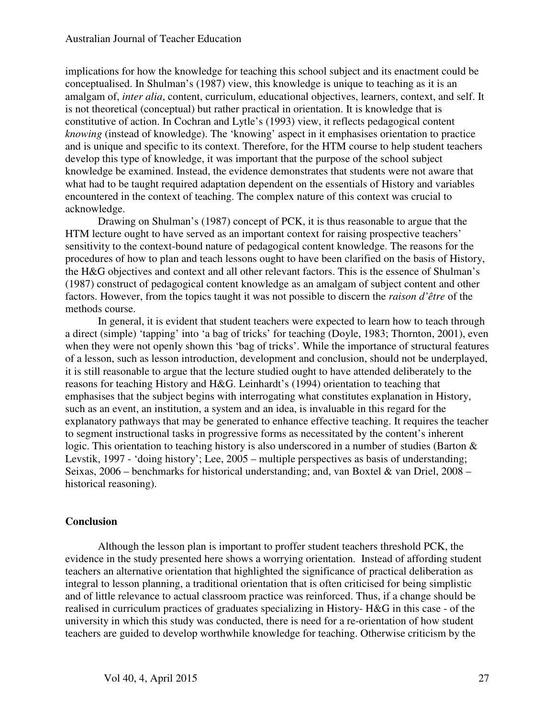implications for how the knowledge for teaching this school subject and its enactment could be conceptualised. In Shulman's (1987) view, this knowledge is unique to teaching as it is an amalgam of, *inter alia*, content, curriculum, educational objectives, learners, context, and self. It is not theoretical (conceptual) but rather practical in orientation. It is knowledge that is constitutive of action. In Cochran and Lytle's (1993) view, it reflects pedagogical content *knowing* (instead of knowledge). The 'knowing' aspect in it emphasises orientation to practice and is unique and specific to its context. Therefore, for the HTM course to help student teachers develop this type of knowledge, it was important that the purpose of the school subject knowledge be examined. Instead, the evidence demonstrates that students were not aware that what had to be taught required adaptation dependent on the essentials of History and variables encountered in the context of teaching. The complex nature of this context was crucial to acknowledge.

Drawing on Shulman's (1987) concept of PCK, it is thus reasonable to argue that the HTM lecture ought to have served as an important context for raising prospective teachers' sensitivity to the context-bound nature of pedagogical content knowledge. The reasons for the procedures of how to plan and teach lessons ought to have been clarified on the basis of History, the H&G objectives and context and all other relevant factors. This is the essence of Shulman's (1987) construct of pedagogical content knowledge as an amalgam of subject content and other factors. However, from the topics taught it was not possible to discern the *raison d'être* of the methods course.

In general, it is evident that student teachers were expected to learn how to teach through a direct (simple) 'tapping' into 'a bag of tricks' for teaching (Doyle, 1983; Thornton, 2001), even when they were not openly shown this 'bag of tricks'. While the importance of structural features of a lesson, such as lesson introduction, development and conclusion, should not be underplayed, it is still reasonable to argue that the lecture studied ought to have attended deliberately to the reasons for teaching History and H&G. Leinhardt's (1994) orientation to teaching that emphasises that the subject begins with interrogating what constitutes explanation in History, such as an event, an institution, a system and an idea, is invaluable in this regard for the explanatory pathways that may be generated to enhance effective teaching. It requires the teacher to segment instructional tasks in progressive forms as necessitated by the content's inherent logic. This orientation to teaching history is also underscored in a number of studies (Barton & Levstik, 1997 - 'doing history'; Lee, 2005 – multiple perspectives as basis of understanding; Seixas, 2006 – benchmarks for historical understanding; and, van Boxtel & van Driel, 2008 – historical reasoning).

## **Conclusion**

Although the lesson plan is important to proffer student teachers threshold PCK, the evidence in the study presented here shows a worrying orientation. Instead of affording student teachers an alternative orientation that highlighted the significance of practical deliberation as integral to lesson planning, a traditional orientation that is often criticised for being simplistic and of little relevance to actual classroom practice was reinforced. Thus, if a change should be realised in curriculum practices of graduates specializing in History- H&G in this case - of the university in which this study was conducted, there is need for a re-orientation of how student teachers are guided to develop worthwhile knowledge for teaching. Otherwise criticism by the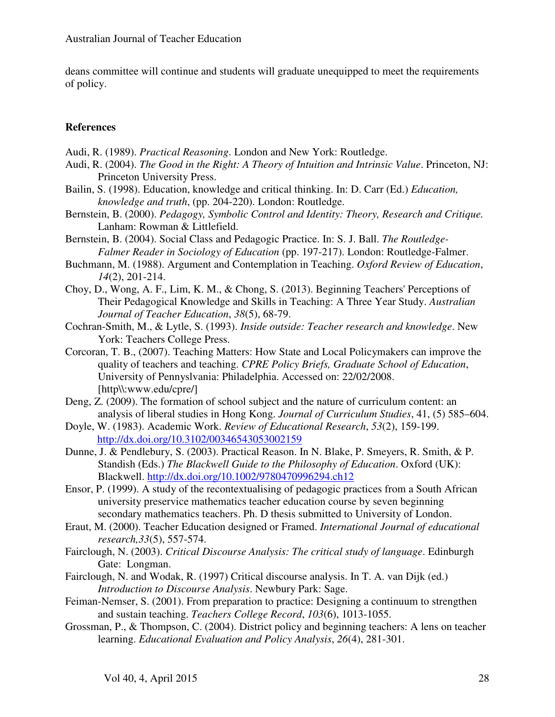deans committee will continue and students will graduate unequipped to meet the requirements of policy.

## **References**

- Audi, R. (1989). *Practical Reasoning*. London and New York: Routledge.
- Audi, R. (2004). *The Good in the Right: A Theory of Intuition and Intrinsic Value*. Princeton, NJ: Princeton University Press.
- Bailin, S. (1998). Education, knowledge and critical thinking. In: D. Carr (Ed.) *Education, knowledge and truth*, (pp. 204-220). London: Routledge.
- Bernstein, B. (2000). *Pedagogy, Symbolic Control and Identity: Theory, Research and Critique.*  Lanham: Rowman & Littlefield.
- Bernstein, B. (2004). Social Class and Pedagogic Practice. In: S. J. Ball. *The Routledge-Falmer Reader in Sociology of Education* (pp. 197-217). London: Routledge-Falmer.
- Buchmann, M. (1988). Argument and Contemplation in Teaching. *Oxford Review of Education*, *14*(2), 201-214.
- Choy, D., Wong, A. F., Lim, K. M., & Chong, S. (2013). Beginning Teachers' Perceptions of Their Pedagogical Knowledge and Skills in Teaching: A Three Year Study. *Australian Journal of Teacher Education*, *38*(5), 68-79.
- Cochran-Smith, M., & Lytle, S. (1993). *Inside outside: Teacher research and knowledge*. New York: Teachers College Press.
- Corcoran, T. B., (2007). Teaching Matters: How State and Local Policymakers can improve the quality of teachers and teaching. *CPRE Policy Briefs, Graduate School of Education*, University of Pennyslvania: Philadelphia. Accessed on: 22/02/2008. [http\\:www.edu/cpre/]
- Deng, Z. (2009). The formation of school subject and the nature of curriculum content: an analysis of liberal studies in Hong Kong. *Journal of Curriculum Studies*, 41, (5) 585–604.
- Doyle, W. (1983). Academic Work. *Review of Educational Research*, *53*(2), 159-199. http://dx.doi.org/10.3102/00346543053002159
- Dunne, J. & Pendlebury, S. (2003). Practical Reason. In N. Blake, P. Smeyers, R. Smith, & P. Standish (Eds.) *The Blackwell Guide to the Philosophy of Education*. Oxford (UK): Blackwell. http://dx.doi.org/10.1002/9780470996294.ch12
- Ensor, P. (1999). A study of the recontextualising of pedagogic practices from a South African university preservice mathematics teacher education course by seven beginning secondary mathematics teachers. Ph. D thesis submitted to University of London.
- Eraut, M. (2000). Teacher Education designed or Framed. *International Journal of educational research,33*(5), 557-574.
- Fairclough, N. (2003). *Critical Discourse Analysis: The critical study of language*. Edinburgh Gate: Longman.
- Fairclough, N. and Wodak, R. (1997) Critical discourse analysis. In T. A. van Dijk (ed.) *Introduction to Discourse Analysis*. Newbury Park: Sage.
- Feiman-Nemser, S. (2001). From preparation to practice: Designing a continuum to strengthen and sustain teaching. *Teachers College Record*, *103*(6), 1013-1055.
- Grossman, P., & Thompson, C. (2004). District policy and beginning teachers: A lens on teacher learning. *Educational Evaluation and Policy Analysis*, *26*(4), 281-301.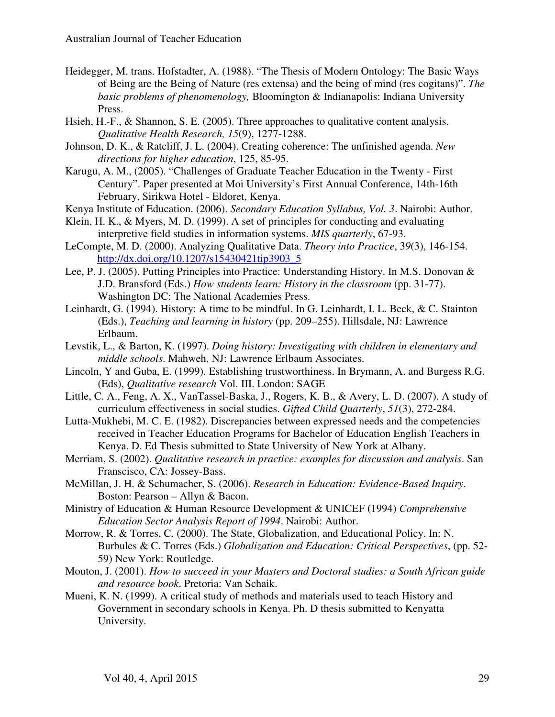- Heidegger, M. trans. Hofstadter, A. (1988). "The Thesis of Modern Ontology: The Basic Ways of Being are the Being of Nature (res extensa) and the being of mind (res cogitans)". *The basic problems of phenomenology,* Bloomington & Indianapolis: Indiana University Press.
- Hsieh, H.-F., & Shannon, S. E. (2005). Three approaches to qualitative content analysis. *Qualitative Health Research, 15*(9), 1277-1288.
- Johnson, D. K., & Ratcliff, J. L. (2004). Creating coherence: The unfinished agenda. *New directions for higher education*, 125, 85-95.
- Karugu, A. M., (2005). "Challenges of Graduate Teacher Education in the Twenty First Century". Paper presented at Moi University's First Annual Conference, 14th-16th February, Sirikwa Hotel - Eldoret, Kenya.
- Kenya Institute of Education. (2006). *Secondary Education Syllabus, Vol. 3*. Nairobi: Author.
- Klein, H. K., & Myers, M. D. (1999). A set of principles for conducting and evaluating interpretive field studies in information systems. *MIS quarterly*, 67-93.
- LeCompte, M. D. (2000). Analyzing Qualitative Data. *Theory into Practice*, 3*9*(3), 146-154. http://dx.doi.org/10.1207/s15430421tip3903\_5
- Lee, P. J. (2005). Putting Principles into Practice: Understanding History. In M.S. Donovan & J.D. Bransford (Eds.) *How students learn: History in the classroom* (pp. 31-77). Washington DC: The National Academies Press.
- Leinhardt, G. (1994). History: A time to be mindful. In G. Leinhardt, I. L. Beck, & C. Stainton (Eds.), *Teaching and learning in history* (pp. 209–255). Hillsdale, NJ: Lawrence Erlbaum.
- Levstik, L., & Barton, K. (1997). *Doing history: Investigating with children in elementary and middle schools*. Mahweh, NJ: Lawrence Erlbaum Associates.
- Lincoln, Y and Guba, E. (1999). Establishing trustworthiness. In Brymann, A. and Burgess R.G. (Eds), *Qualitative research* Vol. III. London: SAGE
- Little, C. A., Feng, A. X., VanTassel-Baska, J., Rogers, K. B., & Avery, L. D. (2007). A study of curriculum effectiveness in social studies. *Gifted Child Quarterly*, *51*(3), 272-284.
- Lutta-Mukhebi, M. C. E. (1982). Discrepancies between expressed needs and the competencies received in Teacher Education Programs for Bachelor of Education English Teachers in Kenya. D. Ed Thesis submitted to State University of New York at Albany.
- Merriam, S. (2002). *Qualitative research in practice: examples for discussion and analysis*. San Franscisco, CA: Jossey-Bass.
- McMillan, J. H. & Schumacher, S. (2006). *Research in Education: Evidence-Based Inquiry*. Boston: Pearson – Allyn & Bacon.
- Ministry of Education & Human Resource Development & UNICEF **(**1994) *Comprehensive Education Sector Analysis Report of 1994*. Nairobi: Author.
- Morrow, R. & Torres, C. (2000). The State, Globalization, and Educational Policy. In: N. Burbules & C. Torres (Eds.) *Globalization and Education: Critical Perspectives*, (pp. 52- 59) New York: Routledge.
- Mouton, J. (2001). *How to succeed in your Masters and Doctoral studies: a South African guide and resource book*. Pretoria: Van Schaik.
- Mueni, K. N. (1999). A critical study of methods and materials used to teach History and Government in secondary schools in Kenya. Ph. D thesis submitted to Kenyatta University.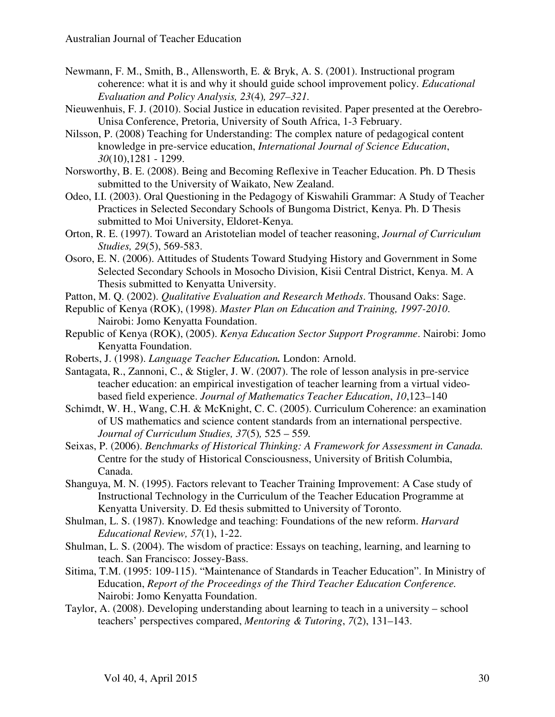- Newmann, F. M., Smith, B., Allensworth, E. & Bryk, A. S. (2001). Instructional program coherence: what it is and why it should guide school improvement policy. *Educational Evaluation and Policy Analysis, 23*(4)*, 297–321.*
- Nieuwenhuis, F. J. (2010). Social Justice in education revisited. Paper presented at the Oerebro-Unisa Conference, Pretoria, University of South Africa, 1-3 February.
- Nilsson, P. (2008) Teaching for Understanding: The complex nature of pedagogical content knowledge in pre-service education, *International Journal of Science Education*, *30*(10),1281 - 1299.
- Norsworthy, B. E. (2008). Being and Becoming Reflexive in Teacher Education. Ph. D Thesis submitted to the University of Waikato, New Zealand.
- Odeo, I.I. (2003). Oral Questioning in the Pedagogy of Kiswahili Grammar: A Study of Teacher Practices in Selected Secondary Schools of Bungoma District, Kenya. Ph. D Thesis submitted to Moi University, Eldoret-Kenya.
- Orton, R. E. (1997). Toward an Aristotelian model of teacher reasoning, *Journal of Curriculum Studies, 29*(5), 569-583.
- Osoro, E. N. (2006). Attitudes of Students Toward Studying History and Government in Some Selected Secondary Schools in Mosocho Division, Kisii Central District, Kenya. M. A Thesis submitted to Kenyatta University.
- Patton, M. Q. (2002). *Qualitative Evaluation and Research Methods*. Thousand Oaks: Sage.
- Republic of Kenya (ROK), (1998). *Master Plan on Education and Training, 1997-2010*. Nairobi: Jomo Kenyatta Foundation.
- Republic of Kenya (ROK), (2005). *Kenya Education Sector Support Programme*. Nairobi: Jomo Kenyatta Foundation.
- Roberts, J. (1998). *Language Teacher Education.* London: Arnold.
- Santagata, R., Zannoni, C., & Stigler, J. W. (2007). The role of lesson analysis in pre-service teacher education: an empirical investigation of teacher learning from a virtual videobased field experience. *Journal of Mathematics Teacher Education*, *10*,123–140
- Schimdt, W. H., Wang, C.H. & McKnight, C. C. (2005). Curriculum Coherence: an examination of US mathematics and science content standards from an international perspective. *Journal of Curriculum Studies, 37*(5)*,* 525 – 559*.*
- Seixas, P. (2006). *Benchmarks of Historical Thinking: A Framework for Assessment in Canada.*  Centre for the study of Historical Consciousness, University of British Columbia, Canada.
- Shanguya, M. N. (1995). Factors relevant to Teacher Training Improvement: A Case study of Instructional Technology in the Curriculum of the Teacher Education Programme at Kenyatta University. D. Ed thesis submitted to University of Toronto.
- Shulman, L. S. (1987). Knowledge and teaching: Foundations of the new reform. *Harvard Educational Review, 57*(1), 1-22.
- Shulman, L. S. (2004). The wisdom of practice: Essays on teaching, learning, and learning to teach. San Francisco: Jossey-Bass.
- Sitima, T.M. (1995: 109-115). "Maintenance of Standards in Teacher Education". In Ministry of Education, *Report of the Proceedings of the Third Teacher Education Conference.*  Nairobi: Jomo Kenyatta Foundation.
- Taylor, A. (2008). Developing understanding about learning to teach in a university school teachers' perspectives compared, *Mentoring & Tutoring*, *7*(2), 131–143.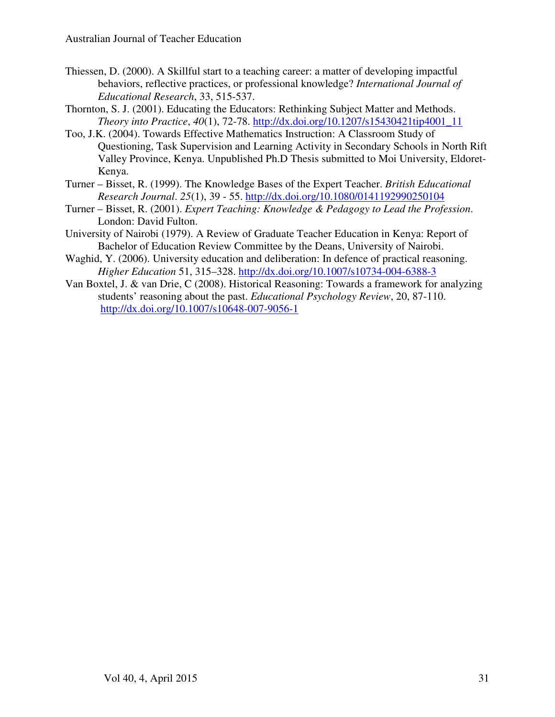- Thiessen, D. (2000). A Skillful start to a teaching career: a matter of developing impactful behaviors, reflective practices, or professional knowledge? *International Journal of Educational Research*, 33, 515-537.
- Thornton, S. J. (2001). Educating the Educators: Rethinking Subject Matter and Methods. *Theory into Practice*, *40*(1), 72-78. http://dx.doi.org/10.1207/s15430421tip4001\_11
- Too, J.K. (2004). Towards Effective Mathematics Instruction: A Classroom Study of Questioning, Task Supervision and Learning Activity in Secondary Schools in North Rift Valley Province, Kenya. Unpublished Ph.D Thesis submitted to Moi University, Eldoret-Kenya.
- Turner Bisset, R. (1999). The Knowledge Bases of the Expert Teacher. *British Educational Research Journal*. *25*(1), 39 - 55. http://dx.doi.org/10.1080/0141192990250104
- Turner Bisset, R. (2001). *Expert Teaching: Knowledge & Pedagogy to Lead the Profession*. London: David Fulton.
- University of Nairobi (1979). A Review of Graduate Teacher Education in Kenya: Report of Bachelor of Education Review Committee by the Deans, University of Nairobi.
- Waghid, Y. (2006). University education and deliberation: In defence of practical reasoning. *Higher Education* 51, 315–328. http://dx.doi.org/10.1007/s10734-004-6388-3
- Van Boxtel, J. & van Drie, C (2008). Historical Reasoning: Towards a framework for analyzing students' reasoning about the past. *Educational Psychology Review*, 20, 87-110. http://dx.doi.org/10.1007/s10648-007-9056-1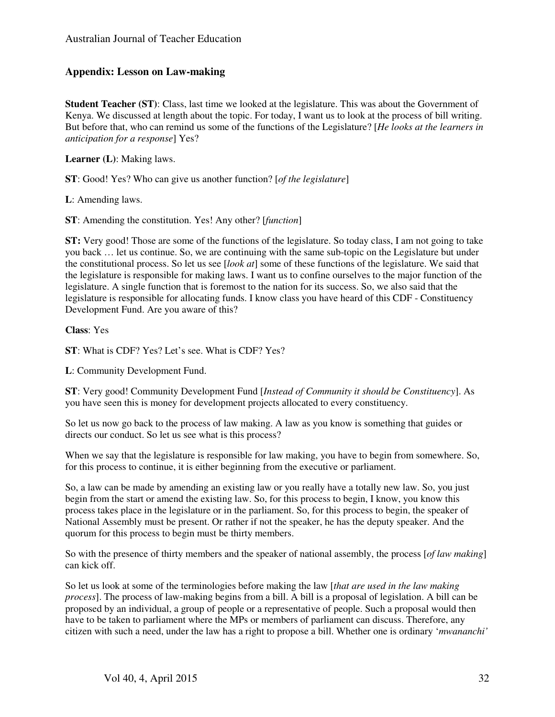## **Appendix: Lesson on Law-making**

**Student Teacher (ST)**: Class, last time we looked at the legislature. This was about the Government of Kenya. We discussed at length about the topic. For today, I want us to look at the process of bill writing. But before that, who can remind us some of the functions of the Legislature? [*He looks at the learners in anticipation for a response*] Yes?

**Learner (L)**: Making laws.

**ST**: Good! Yes? Who can give us another function? [*of the legislature*]

**L**: Amending laws.

**ST**: Amending the constitution. Yes! Any other? [*function*]

**ST:** Very good! Those are some of the functions of the legislature. So today class, I am not going to take you back … let us continue. So, we are continuing with the same sub-topic on the Legislature but under the constitutional process. So let us see [*look at*] some of these functions of the legislature. We said that the legislature is responsible for making laws. I want us to confine ourselves to the major function of the legislature. A single function that is foremost to the nation for its success. So, we also said that the legislature is responsible for allocating funds. I know class you have heard of this CDF - Constituency Development Fund. Are you aware of this?

**Class**: Yes

**ST**: What is CDF? Yes? Let's see. What is CDF? Yes?

**L**: Community Development Fund.

**ST**: Very good! Community Development Fund [*Instead of Community it should be Constituency*]. As you have seen this is money for development projects allocated to every constituency.

So let us now go back to the process of law making. A law as you know is something that guides or directs our conduct. So let us see what is this process?

When we say that the legislature is responsible for law making, you have to begin from somewhere. So, for this process to continue, it is either beginning from the executive or parliament.

So, a law can be made by amending an existing law or you really have a totally new law. So, you just begin from the start or amend the existing law. So, for this process to begin, I know, you know this process takes place in the legislature or in the parliament. So, for this process to begin, the speaker of National Assembly must be present. Or rather if not the speaker, he has the deputy speaker. And the quorum for this process to begin must be thirty members.

So with the presence of thirty members and the speaker of national assembly, the process [*of law making*] can kick off.

So let us look at some of the terminologies before making the law [*that are used in the law making process*]. The process of law-making begins from a bill. A bill is a proposal of legislation. A bill can be proposed by an individual, a group of people or a representative of people. Such a proposal would then have to be taken to parliament where the MPs or members of parliament can discuss. Therefore, any citizen with such a need, under the law has a right to propose a bill. Whether one is ordinary '*mwananchi'*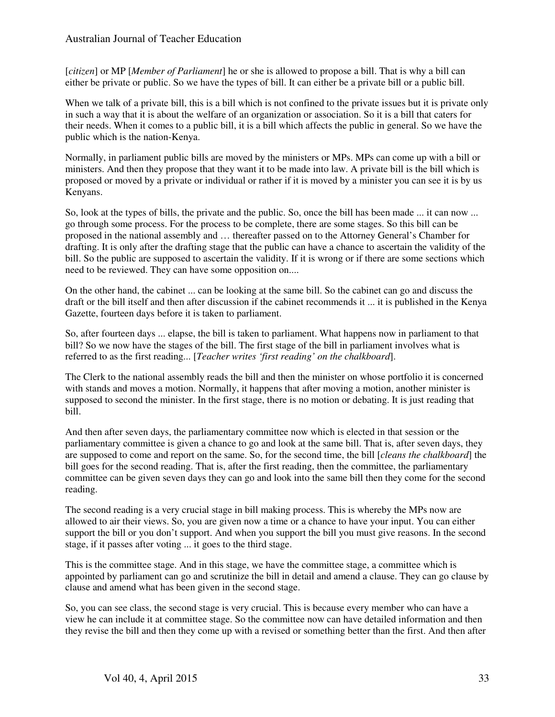[*citizen*] or MP [*Member of Parliament*] he or she is allowed to propose a bill. That is why a bill can either be private or public. So we have the types of bill. It can either be a private bill or a public bill.

When we talk of a private bill, this is a bill which is not confined to the private issues but it is private only in such a way that it is about the welfare of an organization or association. So it is a bill that caters for their needs. When it comes to a public bill, it is a bill which affects the public in general. So we have the public which is the nation-Kenya.

Normally, in parliament public bills are moved by the ministers or MPs. MPs can come up with a bill or ministers. And then they propose that they want it to be made into law. A private bill is the bill which is proposed or moved by a private or individual or rather if it is moved by a minister you can see it is by us Kenyans.

So, look at the types of bills, the private and the public. So, once the bill has been made ... it can now ... go through some process. For the process to be complete, there are some stages. So this bill can be proposed in the national assembly and … thereafter passed on to the Attorney General's Chamber for drafting. It is only after the drafting stage that the public can have a chance to ascertain the validity of the bill. So the public are supposed to ascertain the validity. If it is wrong or if there are some sections which need to be reviewed. They can have some opposition on....

On the other hand, the cabinet ... can be looking at the same bill. So the cabinet can go and discuss the draft or the bill itself and then after discussion if the cabinet recommends it ... it is published in the Kenya Gazette, fourteen days before it is taken to parliament.

So, after fourteen days ... elapse, the bill is taken to parliament. What happens now in parliament to that bill? So we now have the stages of the bill. The first stage of the bill in parliament involves what is referred to as the first reading... [*Teacher writes 'first reading' on the chalkboard*].

The Clerk to the national assembly reads the bill and then the minister on whose portfolio it is concerned with stands and moves a motion. Normally, it happens that after moving a motion, another minister is supposed to second the minister. In the first stage, there is no motion or debating. It is just reading that bill.

And then after seven days, the parliamentary committee now which is elected in that session or the parliamentary committee is given a chance to go and look at the same bill. That is, after seven days, they are supposed to come and report on the same. So, for the second time, the bill [*cleans the chalkboard*] the bill goes for the second reading. That is, after the first reading, then the committee, the parliamentary committee can be given seven days they can go and look into the same bill then they come for the second reading.

The second reading is a very crucial stage in bill making process. This is whereby the MPs now are allowed to air their views. So, you are given now a time or a chance to have your input. You can either support the bill or you don't support. And when you support the bill you must give reasons. In the second stage, if it passes after voting ... it goes to the third stage.

This is the committee stage. And in this stage, we have the committee stage, a committee which is appointed by parliament can go and scrutinize the bill in detail and amend a clause. They can go clause by clause and amend what has been given in the second stage.

So, you can see class, the second stage is very crucial. This is because every member who can have a view he can include it at committee stage. So the committee now can have detailed information and then they revise the bill and then they come up with a revised or something better than the first. And then after